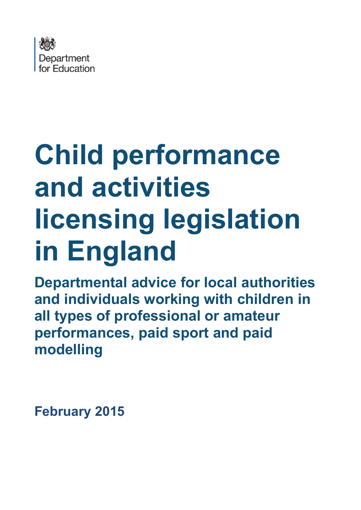

# **Child performance and activities licensing legislation in England**

**Departmental advice for local authorities and individuals working with children in all types of professional or amateur performances, paid sport and paid modelling**

**February 2015**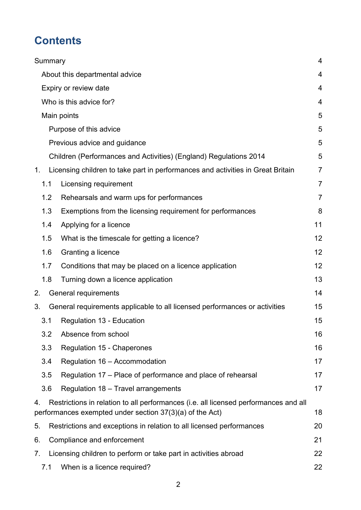# **Contents**

|    | Summary |                                                                                                                                                  | 4              |
|----|---------|--------------------------------------------------------------------------------------------------------------------------------------------------|----------------|
|    |         | About this departmental advice                                                                                                                   | 4              |
|    |         | Expiry or review date                                                                                                                            | 4              |
|    |         | Who is this advice for?                                                                                                                          | 4              |
|    |         | Main points                                                                                                                                      | 5              |
|    |         | Purpose of this advice                                                                                                                           | 5              |
|    |         | Previous advice and guidance                                                                                                                     | 5              |
|    |         | Children (Performances and Activities) (England) Regulations 2014                                                                                | 5              |
| 1. |         | Licensing children to take part in performances and activities in Great Britain                                                                  | $\overline{7}$ |
|    | 1.1     | Licensing requirement                                                                                                                            | $\overline{7}$ |
|    | 1.2     | Rehearsals and warm ups for performances                                                                                                         | $\overline{7}$ |
|    | 1.3     | Exemptions from the licensing requirement for performances                                                                                       | 8              |
|    | 1.4     | Applying for a licence                                                                                                                           | 11             |
|    | 1.5     | What is the timescale for getting a licence?                                                                                                     | 12             |
|    | 1.6     | Granting a licence                                                                                                                               | 12             |
|    | 1.7     | Conditions that may be placed on a licence application                                                                                           | 12             |
|    | 1.8     | Turning down a licence application                                                                                                               | 13             |
| 2. |         | General requirements                                                                                                                             | 14             |
| 3. |         | General requirements applicable to all licensed performances or activities                                                                       | 15             |
|    | 3.1     | Regulation 13 - Education                                                                                                                        | 15             |
|    | 3.2     | Absence from school                                                                                                                              | 16             |
|    | 3.3     | Regulation 15 - Chaperones                                                                                                                       | 16             |
|    | 3.4     | Regulation 16 - Accommodation                                                                                                                    | 17             |
|    | 3.5     | Regulation 17 – Place of performance and place of rehearsal                                                                                      | 17             |
|    | 3.6     | Regulation 18 - Travel arrangements                                                                                                              | 17             |
| 4. |         | Restrictions in relation to all performances (i.e. all licensed performances and all<br>performances exempted under section 37(3)(a) of the Act) | 18             |
| 5. |         | Restrictions and exceptions in relation to all licensed performances                                                                             | 20             |
| 6. |         | Compliance and enforcement                                                                                                                       | 21             |
| 7. |         | Licensing children to perform or take part in activities abroad                                                                                  | 22             |
|    | 7.1     | When is a licence required?                                                                                                                      | 22             |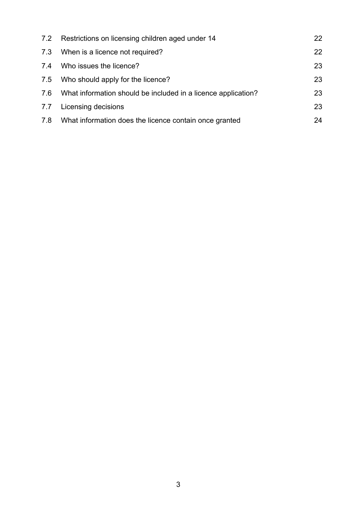|     | 7.2 Restrictions on licensing children aged under 14              | 22 |
|-----|-------------------------------------------------------------------|----|
|     | 7.3 When is a licence not required?                               | 22 |
| 7.4 | Who issues the licence?                                           | 23 |
|     | 7.5 Who should apply for the licence?                             | 23 |
|     | 7.6 What information should be included in a licence application? | 23 |
| 7.7 | Licensing decisions                                               | 23 |
| 7.8 | What information does the licence contain once granted            | 24 |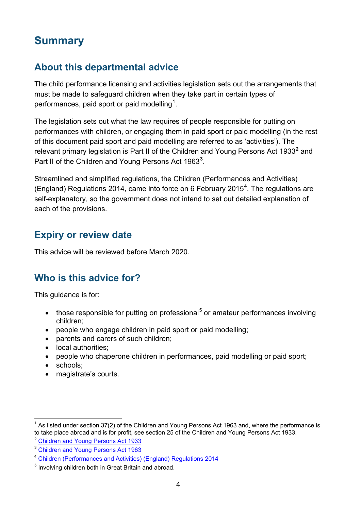# <span id="page-3-0"></span>**Summary**

# <span id="page-3-1"></span>**About this departmental advice**

The child performance licensing and activities legislation sets out the arrangements that must be made to safeguard children when they take part in certain types of performances, paid sport or paid modelling<sup>[1](#page-3-4)</sup>.

The legislation sets out what the law requires of people responsible for putting on performances with children, or engaging them in paid sport or paid modelling (in the rest of this document paid sport and paid modelling are referred to as 'activities'). The relevant primary legislation is Part II of the Children and Young Persons Act 1933**[2](#page-3-5)** and Part II of the Children and Young Persons Act 196[3](#page-3-6)<sup>3</sup>.

Streamlined and simplified regulations, the Children (Performances and Activities) (England) Regulations 2014, came into force on 6 February 2015**[4](#page-3-7)** . The regulations are self-explanatory, so the government does not intend to set out detailed explanation of each of the provisions.

### <span id="page-3-2"></span>**Expiry or review date**

This advice will be reviewed before March 2020.

# <span id="page-3-3"></span>**Who is this advice for?**

This guidance is for:

- those responsible for putting on professional<sup>[5](#page-3-8)</sup> or amateur performances involving children;
- people who engage children in paid sport or paid modelling;
- parents and carers of such children;
- local authorities;
- people who chaperone children in performances, paid modelling or paid sport;
- schools:
- magistrate's courts.

<span id="page-3-4"></span>As listed under section 37(2) of the Children and Young Persons Act 1963 and, where the performance is to take place abroad and is for profit, see section 25 of the Children and Young Persons Act 1933.

<span id="page-3-5"></span><sup>2</sup> [Children and Young Persons Act 1933](http://www.legislation.gov.uk/ukpga/Geo5/23-24/12)

<span id="page-3-6"></span><sup>&</sup>lt;sup>3</sup> [Children and Young Persons Act 1963](http://www.legislation.gov.uk/ukpga/1963/37)

<span id="page-3-7"></span><sup>4</sup> [Children \(Performances and Activities\) \(England\) Regulations 2014](http://www.legislation.gov.uk/id/uksi/2014/3309)

<span id="page-3-8"></span><sup>5</sup> Involving children both in Great Britain and abroad.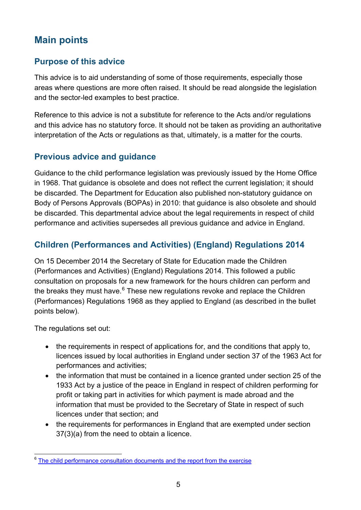# <span id="page-4-0"></span>**Main points**

### <span id="page-4-1"></span>**Purpose of this advice**

This advice is to aid understanding of some of those requirements, especially those areas where questions are more often raised. It should be read alongside the legislation and the sector-led examples to best practice.

Reference to this advice is not a substitute for reference to the Acts and/or regulations and this advice has no statutory force. It should not be taken as providing an authoritative interpretation of the Acts or regulations as that, ultimately, is a matter for the courts.

### <span id="page-4-2"></span>**Previous advice and guidance**

Guidance to the child performance legislation was previously issued by the Home Office in 1968. That guidance is obsolete and does not reflect the current legislation; it should be discarded. The Department for Education also published non-statutory guidance on Body of Persons Approvals (BOPAs) in 2010: that guidance is also obsolete and should be discarded. This departmental advice about the legal requirements in respect of child performance and activities supersedes all previous guidance and advice in England.

### <span id="page-4-3"></span>**Children (Performances and Activities) (England) Regulations 2014**

On 15 December 2014 the Secretary of State for Education made the Children (Performances and Activities) (England) Regulations 2014. This followed a public consultation on proposals for a new framework for the hours children can perform and the breaks they must have.<sup>[6](#page-4-4)</sup> These new regulations revoke and replace the Children (Performances) Regulations 1968 as they applied to England (as described in the bullet points below).

The regulations set out:

- the requirements in respect of applications for, and the conditions that apply to, licences issued by local authorities in England under section 37 of the 1963 Act for performances and activities;
- the information that must be contained in a licence granted under section 25 of the 1933 Act by a justice of the peace in England in respect of children performing for profit or taking part in activities for which payment is made abroad and the information that must be provided to the Secretary of State in respect of such licences under that section; and
- the requirements for performances in England that are exempted under section 37(3)(a) from the need to obtain a licence.

<span id="page-4-4"></span><sup>&</sup>lt;sup>6</sup> [The child performance consultation documents and the report from the exercise](https://www.gov.uk/government/consultations/child-performance-regulations-performance-hours-and-breaks)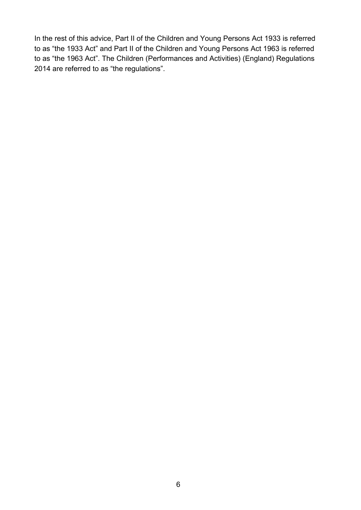In the rest of this advice, Part II of the Children and Young Persons Act 1933 is referred to as "the 1933 Act" and Part II of the Children and Young Persons Act 1963 is referred to as "the 1963 Act". The Children (Performances and Activities) (England) Regulations 2014 are referred to as "the regulations".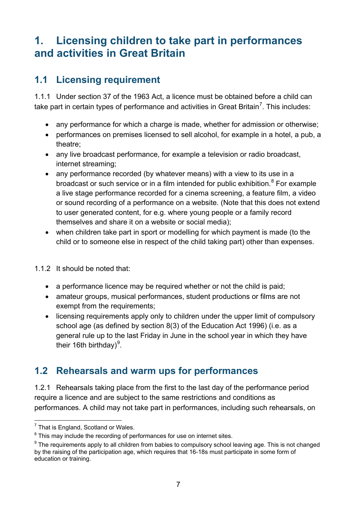# <span id="page-6-0"></span>**1. Licensing children to take part in performances and activities in Great Britain**

# <span id="page-6-1"></span>**1.1 Licensing requirement**

1.1.1 Under section 37 of the 1963 Act, a licence must be obtained before a child can take part in certain types of performance and activities in Great Britain<sup>[7](#page-6-3)</sup>. This includes:

- any performance for which a charge is made, whether for admission or otherwise;
- performances on premises licensed to sell alcohol, for example in a hotel, a pub, a theatre;
- any live broadcast performance, for example a television or radio broadcast, internet streaming;
- any performance recorded (by whatever means) with a view to its use in a broadcast or such service or in a film intended for public exhibition. $8$  For example a live stage performance recorded for a cinema screening, a feature film, a video or sound recording of a performance on a website. (Note that this does not extend to user generated content, for e.g. where young people or a family record themselves and share it on a website or social media);
- when children take part in sport or modelling for which payment is made (to the child or to someone else in respect of the child taking part) other than expenses.
- 1.1.2 It should be noted that:
	- a performance licence may be required whether or not the child is paid;
	- amateur groups, musical performances, student productions or films are not exempt from the requirements;
	- licensing requirements apply only to children under the upper limit of compulsory school age (as defined by section 8(3) of the Education Act 1996) (i.e. as a general rule up to the last Friday in June in the school year in which they have their 16th birthday) $9$ .

# <span id="page-6-2"></span>**1.2 Rehearsals and warm ups for performances**

1.2.1 Rehearsals taking place from the first to the last day of the performance period require a licence and are subject to the same restrictions and conditions as performances. A child may not take part in performances, including such rehearsals, on

<span id="page-6-3"></span> $<sup>7</sup>$  That is England, Scotland or Wales.</sup>

<span id="page-6-4"></span> $8$  This may include the recording of performances for use on internet sites.

<span id="page-6-5"></span> $9$  The requirements apply to all children from babies to compulsory school leaving age. This is not changed by the raising of the participation age, which requires that 16-18s must participate in some form of education or training.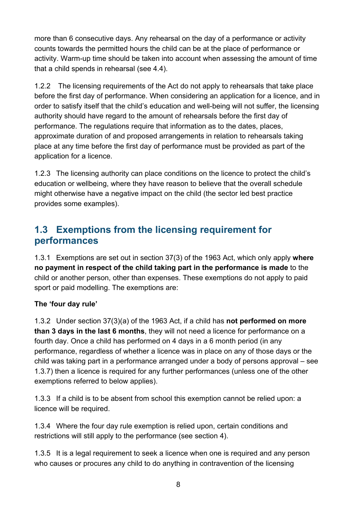more than 6 consecutive days. Any rehearsal on the day of a performance or activity counts towards the permitted hours the child can be at the place of performance or activity. Warm-up time should be taken into account when assessing the amount of time that a child spends in rehearsal (see 4.4).

1.2.2 The licensing requirements of the Act do not apply to rehearsals that take place before the first day of performance. When considering an application for a licence, and in order to satisfy itself that the child's education and well-being will not suffer, the licensing authority should have regard to the amount of rehearsals before the first day of performance. The regulations require that information as to the dates, places, approximate duration of and proposed arrangements in relation to rehearsals taking place at any time before the first day of performance must be provided as part of the application for a licence.

1.2.3 The licensing authority can place conditions on the licence to protect the child's education or wellbeing, where they have reason to believe that the overall schedule might otherwise have a negative impact on the child (the sector led best practice provides some examples).

### <span id="page-7-0"></span>**1.3 Exemptions from the licensing requirement for performances**

1.3.1 Exemptions are set out in section 37(3) of the 1963 Act, which only apply **where no payment in respect of the child taking part in the performance is made** to the child or another person, other than expenses. These exemptions do not apply to paid sport or paid modelling. The exemptions are:

#### **The 'four day rule'**

1.3.2 Under section 37(3)(a) of the 1963 Act, if a child has **not performed on more than 3 days in the last 6 months**, they will not need a licence for performance on a fourth day. Once a child has performed on 4 days in a 6 month period (in any performance, regardless of whether a licence was in place on any of those days or the child was taking part in a performance arranged under a body of persons approval – see 1.3.7) then a licence is required for any further performances (unless one of the other exemptions referred to below applies).

1.3.3 If a child is to be absent from school this exemption cannot be relied upon: a licence will be required.

1.3.4 Where the four day rule exemption is relied upon, certain conditions and restrictions will still apply to the performance (see section 4).

1.3.5 It is a legal requirement to seek a licence when one is required and any person who causes or procures any child to do anything in contravention of the licensing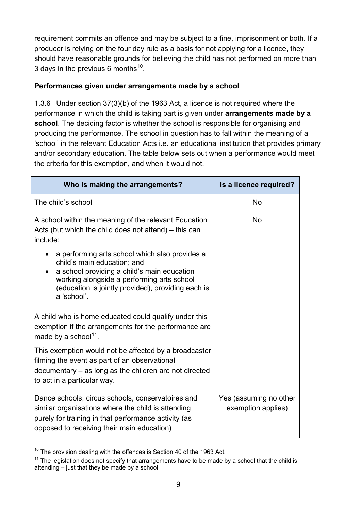requirement commits an offence and may be subject to a fine, imprisonment or both. If a producer is relying on the four day rule as a basis for not applying for a licence, they should have reasonable grounds for believing the child has not performed on more than 3 days in the previous 6 months<sup>[10](#page-8-0)</sup>.

#### **Performances given under arrangements made by a school**

1.3.6 Under section 37(3)(b) of the 1963 Act, a licence is not required where the performance in which the child is taking part is given under **arrangements made by a school**. The deciding factor is whether the school is responsible for organising and producing the performance. The school in question has to fall within the meaning of a 'school' in the relevant Education Acts i.e. an educational institution that provides primary and/or secondary education. The table below sets out when a performance would meet the criteria for this exemption, and when it would not.

| Who is making the arrangements?                                                                                                                                                                                                                                           | Is a licence required?                       |
|---------------------------------------------------------------------------------------------------------------------------------------------------------------------------------------------------------------------------------------------------------------------------|----------------------------------------------|
| The child's school                                                                                                                                                                                                                                                        | <b>No</b>                                    |
| A school within the meaning of the relevant Education<br>Acts (but which the child does not attend) – this can<br>include:                                                                                                                                                | <b>No</b>                                    |
| a performing arts school which also provides a<br>$\bullet$<br>child's main education; and<br>a school providing a child's main education<br>$\bullet$<br>working alongside a performing arts school<br>(education is jointly provided), providing each is<br>a 'school'. |                                              |
| A child who is home educated could qualify under this<br>exemption if the arrangements for the performance are<br>made by a school <sup>11</sup> .                                                                                                                        |                                              |
| This exemption would not be affected by a broadcaster<br>filming the event as part of an observational<br>documentary – as long as the children are not directed<br>to act in a particular way.                                                                           |                                              |
| Dance schools, circus schools, conservatoires and<br>similar organisations where the child is attending<br>purely for training in that performance activity (as<br>opposed to receiving their main education)                                                             | Yes (assuming no other<br>exemption applies) |

<span id="page-8-0"></span> $10$  The provision dealing with the offences is Section 40 of the 1963 Act.

<span id="page-8-1"></span> $11$  The legislation does not specify that arrangements have to be made by a school that the child is attending – just that they be made by a school.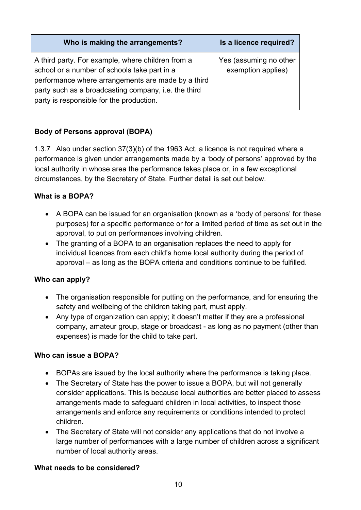| Who is making the arrangements?                                                                                                                                                                                                                             | Is a licence required?                       |
|-------------------------------------------------------------------------------------------------------------------------------------------------------------------------------------------------------------------------------------------------------------|----------------------------------------------|
| A third party. For example, where children from a<br>school or a number of schools take part in a<br>performance where arrangements are made by a third<br>party such as a broadcasting company, i.e. the third<br>party is responsible for the production. | Yes (assuming no other<br>exemption applies) |

#### **Body of Persons approval (BOPA)**

1.3.7 Also under section 37(3)(b) of the 1963 Act, a licence is not required where a performance is given under arrangements made by a 'body of persons' approved by the local authority in whose area the performance takes place or, in a few exceptional circumstances, by the Secretary of State. Further detail is set out below.

#### **What is a BOPA?**

- A BOPA can be issued for an organisation (known as a 'body of persons' for these purposes) for a specific performance or for a limited period of time as set out in the approval, to put on performances involving children.
- The granting of a BOPA to an organisation replaces the need to apply for individual licences from each child's home local authority during the period of approval – as long as the BOPA criteria and conditions continue to be fulfilled.

#### **Who can apply?**

- The organisation responsible for putting on the performance, and for ensuring the safety and wellbeing of the children taking part, must apply.
- Any type of organization can apply; it doesn't matter if they are a professional company, amateur group, stage or broadcast - as long as no payment (other than expenses) is made for the child to take part.

#### **Who can issue a BOPA?**

- BOPAs are issued by the local authority where the performance is taking place.
- The Secretary of State has the power to issue a BOPA, but will not generally consider applications. This is because local authorities are better placed to assess arrangements made to safeguard children in local activities, to inspect those arrangements and enforce any requirements or conditions intended to protect children.
- The Secretary of State will not consider any applications that do not involve a large number of performances with a large number of children across a significant number of local authority areas.

#### **What needs to be considered?**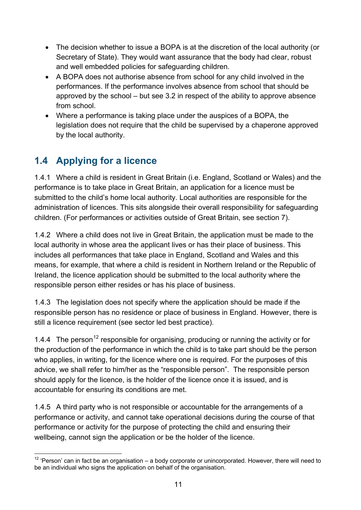- The decision whether to issue a BOPA is at the discretion of the local authority (or Secretary of State). They would want assurance that the body had clear, robust and well embedded policies for safeguarding children.
- A BOPA does not authorise absence from school for any child involved in the performances. If the performance involves absence from school that should be approved by the school – but see 3.2 in respect of the ability to approve absence from school.
- Where a performance is taking place under the auspices of a BOPA, the legislation does not require that the child be supervised by a chaperone approved by the local authority.

# <span id="page-10-0"></span>**1.4 Applying for a licence**

1.4.1 Where a child is resident in Great Britain (i.e. England, Scotland or Wales) and the performance is to take place in Great Britain, an application for a licence must be submitted to the child's home local authority. Local authorities are responsible for the administration of licences. This sits alongside their overall responsibility for safeguarding children. (For performances or activities outside of Great Britain, see section 7).

1.4.2 Where a child does not live in Great Britain, the application must be made to the local authority in whose area the applicant lives or has their place of business. This includes all performances that take place in England, Scotland and Wales and this means, for example, that where a child is resident in Northern Ireland or the Republic of Ireland, the licence application should be submitted to the local authority where the responsible person either resides or has his place of business.

1.4.3 The legislation does not specify where the application should be made if the responsible person has no residence or place of business in England. However, there is still a licence requirement (see sector led best practice).

1.4.4 The person<sup>[12](#page-10-1)</sup> responsible for organising, producing or running the activity or for the production of the performance in which the child is to take part should be the person who applies, in writing, for the licence where one is required. For the purposes of this advice, we shall refer to him/her as the "responsible person". The responsible person should apply for the licence, is the holder of the licence once it is issued, and is accountable for ensuring its conditions are met.

1.4.5 A third party who is not responsible or accountable for the arrangements of a performance or activity, and cannot take operational decisions during the course of that performance or activity for the purpose of protecting the child and ensuring their wellbeing, cannot sign the application or be the holder of the licence.

<span id="page-10-1"></span> $12$  'Person' can in fact be an organisation – a body corporate or unincorporated. However, there will need to be an individual who signs the application on behalf of the organisation.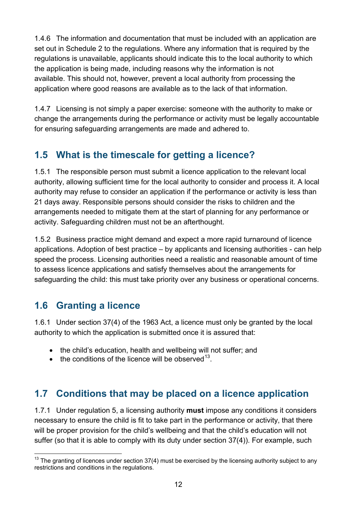1.4.6 The information and documentation that must be included with an application are set out in Schedule 2 to the regulations. Where any information that is required by the regulations is unavailable, applicants should indicate this to the local authority to which the application is being made, including reasons why the information is not available. This should not, however, prevent a local authority from processing the application where good reasons are available as to the lack of that information.

1.4.7 Licensing is not simply a paper exercise: someone with the authority to make or change the arrangements during the performance or activity must be legally accountable for ensuring safeguarding arrangements are made and adhered to.

# <span id="page-11-0"></span>**1.5 What is the timescale for getting a licence?**

1.5.1 The responsible person must submit a licence application to the relevant local authority, allowing sufficient time for the local authority to consider and process it. A local authority may refuse to consider an application if the performance or activity is less than 21 days away. Responsible persons should consider the risks to children and the arrangements needed to mitigate them at the start of planning for any performance or activity. Safeguarding children must not be an afterthought.

1.5.2 Business practice might demand and expect a more rapid turnaround of licence applications. Adoption of best practice – by applicants and licensing authorities - can help speed the process. Licensing authorities need a realistic and reasonable amount of time to assess licence applications and satisfy themselves about the arrangements for safeguarding the child: this must take priority over any business or operational concerns.

# <span id="page-11-1"></span>**1.6 Granting a licence**

1.6.1 Under section 37(4) of the 1963 Act, a licence must only be granted by the local authority to which the application is submitted once it is assured that:

- the child's education, health and wellbeing will not suffer; and
- the conditions of the licence will be observed  $13$ .

# <span id="page-11-2"></span>**1.7 Conditions that may be placed on a licence application**

1.7.1 Under regulation 5, a licensing authority **must** impose any conditions it considers necessary to ensure the child is fit to take part in the performance or activity, that there will be proper provision for the child's wellbeing and that the child's education will not suffer (so that it is able to comply with its duty under section 37(4)). For example, such

<span id="page-11-3"></span> $13$  The granting of licences under section 37(4) must be exercised by the licensing authority subject to any restrictions and conditions in the regulations.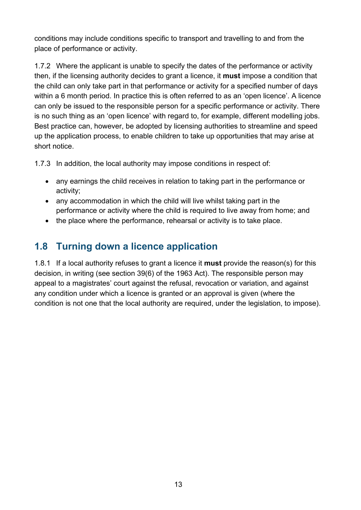conditions may include conditions specific to transport and travelling to and from the place of performance or activity.

1.7.2 Where the applicant is unable to specify the dates of the performance or activity then, if the licensing authority decides to grant a licence, it **must** impose a condition that the child can only take part in that performance or activity for a specified number of days within a 6 month period. In practice this is often referred to as an 'open licence'. A licence can only be issued to the responsible person for a specific performance or activity. There is no such thing as an 'open licence' with regard to, for example, different modelling jobs. Best practice can, however, be adopted by licensing authorities to streamline and speed up the application process, to enable children to take up opportunities that may arise at short notice.

1.7.3 In addition, the local authority may impose conditions in respect of:

- any earnings the child receives in relation to taking part in the performance or activity;
- any accommodation in which the child will live whilst taking part in the performance or activity where the child is required to live away from home; and
- the place where the performance, rehearsal or activity is to take place.

# <span id="page-12-0"></span>**1.8 Turning down a licence application**

1.8.1 If a local authority refuses to grant a licence it **must** provide the reason(s) for this decision, in writing (see section 39(6) of the 1963 Act). The responsible person may appeal to a magistrates' court against the refusal, revocation or variation, and against any condition under which a licence is granted or an approval is given (where the condition is not one that the local authority are required, under the legislation, to impose).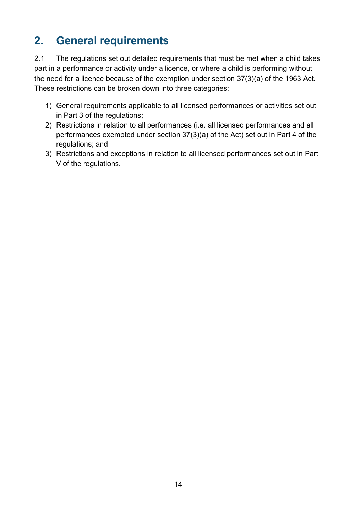# <span id="page-13-0"></span>**2. General requirements**

2.1 The regulations set out detailed requirements that must be met when a child takes part in a performance or activity under a licence, or where a child is performing without the need for a licence because of the exemption under section 37(3)(a) of the 1963 Act. These restrictions can be broken down into three categories:

- 1) General requirements applicable to all licensed performances or activities set out in Part 3 of the regulations;
- 2) Restrictions in relation to all performances (i.e. all licensed performances and all performances exempted under section 37(3)(a) of the Act) set out in Part 4 of the regulations; and
- 3) Restrictions and exceptions in relation to all licensed performances set out in Part V of the regulations.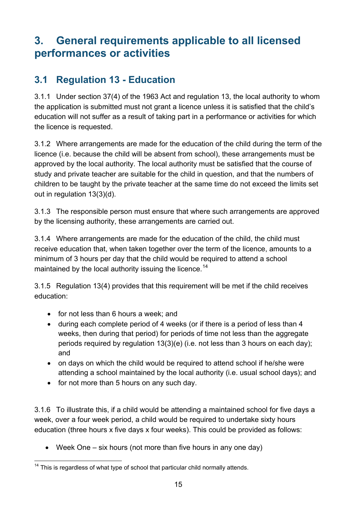# <span id="page-14-0"></span>**3. General requirements applicable to all licensed performances or activities**

# <span id="page-14-1"></span>**3.1 Regulation 13 - Education**

3.1.1 Under section 37(4) of the 1963 Act and regulation 13, the local authority to whom the application is submitted must not grant a licence unless it is satisfied that the child's education will not suffer as a result of taking part in a performance or activities for which the licence is requested.

3.1.2 Where arrangements are made for the education of the child during the term of the licence (i.e. because the child will be absent from school), these arrangements must be approved by the local authority. The local authority must be satisfied that the course of study and private teacher are suitable for the child in question, and that the numbers of children to be taught by the private teacher at the same time do not exceed the limits set out in regulation 13(3)(d).

3.1.3 The responsible person must ensure that where such arrangements are approved by the licensing authority, these arrangements are carried out.

3.1.4 Where arrangements are made for the education of the child, the child must receive education that, when taken together over the term of the licence, amounts to a minimum of 3 hours per day that the child would be required to attend a school maintained by the local authority issuing the licence.<sup>[14](#page-14-2)</sup>

3.1.5 Regulation 13(4) provides that this requirement will be met if the child receives education:

- for not less than 6 hours a week; and
- during each complete period of 4 weeks (or if there is a period of less than 4 weeks, then during that period) for periods of time not less than the aggregate periods required by regulation 13(3)(e) (i.e. not less than 3 hours on each day); and
- on days on which the child would be required to attend school if he/she were attending a school maintained by the local authority (i.e. usual school days); and
- for not more than 5 hours on any such day.

3.1.6 To illustrate this, if a child would be attending a maintained school for five days a week, over a four week period, a child would be required to undertake sixty hours education (three hours x five days x four weeks). This could be provided as follows:

Week One  $-$  six hours (not more than five hours in any one day)

<span id="page-14-2"></span> $14$  This is regardless of what type of school that particular child normally attends.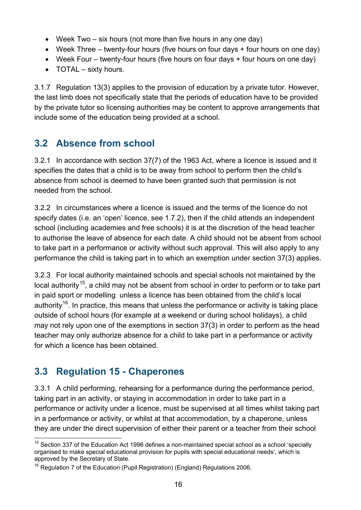- Week Two six hours (not more than five hours in any one day)
- Week Three twenty-four hours (five hours on four days + four hours on one day)
- Week Four twenty-four hours (five hours on four days + four hours on one day)
- TOTAL sixty hours.

3.1.7 Regulation 13(3) applies to the provision of education by a private tutor. However, the last limb does not specifically state that the periods of education have to be provided by the private tutor so licensing authorities may be content to approve arrangements that include some of the education being provided at a school.

# <span id="page-15-0"></span>**3.2 Absence from school**

3.2.1 In accordance with section 37(7) of the 1963 Act, where a licence is issued and it specifies the dates that a child is to be away from school to perform then the child's absence from school is deemed to have been granted such that permission is not needed from the school.

3.2.2 In circumstances where a licence is issued and the terms of the licence do not specify dates (i.e. an 'open' licence, see 1.7.2), then if the child attends an independent school (including academies and free schools) it is at the discretion of the head teacher to authorise the leave of absence for each date. A child should not be absent from school to take part in a performance or activity without such approval. This will also apply to any performance the child is taking part in to which an exemption under section 37(3) applies.

3.2.3 For local authority maintained schools and special schools not maintained by the local authority<sup>[15](#page-15-2)</sup>, a child may not be absent from school in order to perform or to take part in paid sport or modelling unless a licence has been obtained from the child's local authority<sup>[16](#page-15-3)</sup>. In practice, this means that unless the performance or activity is taking place outside of school hours (for example at a weekend or during school holidays), a child may not rely upon one of the exemptions in section 37(3) in order to perform as the head teacher may only authorize absence for a child to take part in a performance or activity for which a licence has been obtained.

# <span id="page-15-1"></span>**3.3 Regulation 15 - Chaperones**

3.3.1 A child performing, rehearsing for a performance during the performance period, taking part in an activity, or staying in accommodation in order to take part in a performance or activity under a licence, must be supervised at all times whilst taking part in a performance or activity, or whilst at that accommodation, by a chaperone, unless they are under the direct supervision of either their parent or a teacher from their school

<span id="page-15-2"></span><sup>&</sup>lt;sup>15</sup> Section 337 of the Education Act 1996 defines a non-maintained special school as a school 'specially organised to make special educational provision for pupils with special educational needs', which is approved by the Secretary of State.

<span id="page-15-3"></span><sup>&</sup>lt;sup>16</sup> Regulation 7 of the Education (Pupil Registration) (England) Regulations 2006.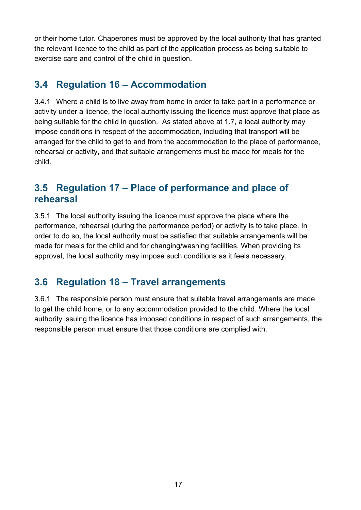or their home tutor. Chaperones must be approved by the local authority that has granted the relevant licence to the child as part of the application process as being suitable to exercise care and control of the child in question.

### <span id="page-16-0"></span>**3.4 Regulation 16 – Accommodation**

3.4.1 Where a child is to live away from home in order to take part in a performance or activity under a licence, the local authority issuing the licence must approve that place as being suitable for the child in question. As stated above at 1.7, a local authority may impose conditions in respect of the accommodation, including that transport will be arranged for the child to get to and from the accommodation to the place of performance, rehearsal or activity, and that suitable arrangements must be made for meals for the child.

### <span id="page-16-1"></span>**3.5 Regulation 17 – Place of performance and place of rehearsal**

3.5.1 The local authority issuing the licence must approve the place where the performance, rehearsal (during the performance period) or activity is to take place. In order to do so, the local authority must be satisfied that suitable arrangements will be made for meals for the child and for changing/washing facilities. When providing its approval, the local authority may impose such conditions as it feels necessary.

### <span id="page-16-2"></span>**3.6 Regulation 18 – Travel arrangements**

3.6.1 The responsible person must ensure that suitable travel arrangements are made to get the child home, or to any accommodation provided to the child. Where the local authority issuing the licence has imposed conditions in respect of such arrangements, the responsible person must ensure that those conditions are complied with.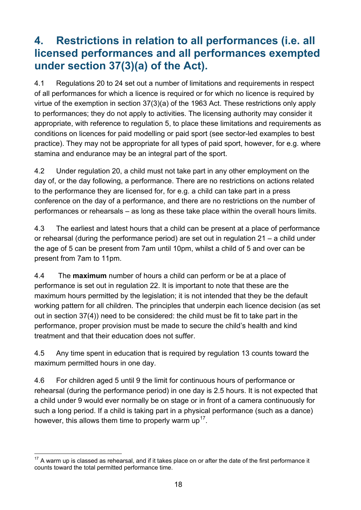# <span id="page-17-0"></span>**4. Restrictions in relation to all performances (i.e. all licensed performances and all performances exempted under section 37(3)(a) of the Act).**

4.1 Regulations 20 to 24 set out a number of limitations and requirements in respect of all performances for which a licence is required or for which no licence is required by virtue of the exemption in section 37(3)(a) of the 1963 Act. These restrictions only apply to performances; they do not apply to activities. The licensing authority may consider it appropriate, with reference to regulation 5, to place these limitations and requirements as conditions on licences for paid modelling or paid sport (see sector-led examples to best practice). They may not be appropriate for all types of paid sport, however, for e.g. where stamina and endurance may be an integral part of the sport.

4.2 Under regulation 20, a child must not take part in any other employment on the day of, or the day following, a performance. There are no restrictions on actions related to the performance they are licensed for, for e.g. a child can take part in a press conference on the day of a performance, and there are no restrictions on the number of performances or rehearsals – as long as these take place within the overall hours limits.

4.3 The earliest and latest hours that a child can be present at a place of performance or rehearsal (during the performance period) are set out in regulation 21 – a child under the age of 5 can be present from 7am until 10pm, whilst a child of 5 and over can be present from 7am to 11pm.

4.4 The **maximum** number of hours a child can perform or be at a place of performance is set out in regulation 22. It is important to note that these are the maximum hours permitted by the legislation; it is not intended that they be the default working pattern for all children. The principles that underpin each licence decision (as set out in section 37(4)) need to be considered: the child must be fit to take part in the performance, proper provision must be made to secure the child's health and kind treatment and that their education does not suffer.

4.5 Any time spent in education that is required by regulation 13 counts toward the maximum permitted hours in one day.

4.6 For children aged 5 until 9 the limit for continuous hours of performance or rehearsal (during the performance period) in one day is 2.5 hours. It is not expected that a child under 9 would ever normally be on stage or in front of a camera continuously for such a long period. If a child is taking part in a physical performance (such as a dance) however, this allows them time to properly warm  $up<sup>17</sup>$ .

<span id="page-17-1"></span> $17$  A warm up is classed as rehearsal, and if it takes place on or after the date of the first performance it counts toward the total permitted performance time.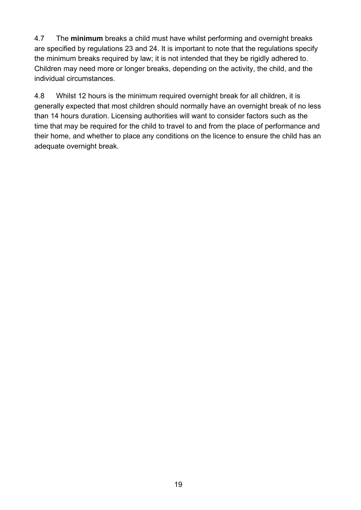4.7 The **minimum** breaks a child must have whilst performing and overnight breaks are specified by regulations 23 and 24. It is important to note that the regulations specify the minimum breaks required by law; it is not intended that they be rigidly adhered to. Children may need more or longer breaks, depending on the activity, the child, and the individual circumstances.

4.8 Whilst 12 hours is the minimum required overnight break for all children, it is generally expected that most children should normally have an overnight break of no less than 14 hours duration. Licensing authorities will want to consider factors such as the time that may be required for the child to travel to and from the place of performance and their home, and whether to place any conditions on the licence to ensure the child has an adequate overnight break.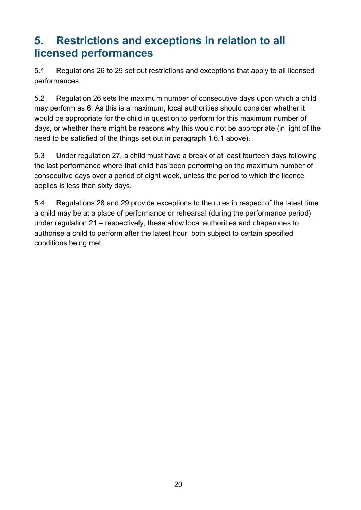# <span id="page-19-0"></span>**5. Restrictions and exceptions in relation to all licensed performances**

5.1 Regulations 26 to 29 set out restrictions and exceptions that apply to all licensed performances.

5.2 Regulation 26 sets the maximum number of consecutive days upon which a child may perform as 6. As this is a maximum, local authorities should consider whether it would be appropriate for the child in question to perform for this maximum number of days, or whether there might be reasons why this would not be appropriate (in light of the need to be satisfied of the things set out in paragraph 1.6.1 above).

5.3 Under regulation 27, a child must have a break of at least fourteen days following the last performance where that child has been performing on the maximum number of consecutive days over a period of eight week, unless the period to which the licence applies is less than sixty days.

5.4 Regulations 28 and 29 provide exceptions to the rules in respect of the latest time a child may be at a place of performance or rehearsal (during the performance period) under regulation 21 – respectively, these allow local authorities and chaperones to authorise a child to perform after the latest hour, both subject to certain specified conditions being met.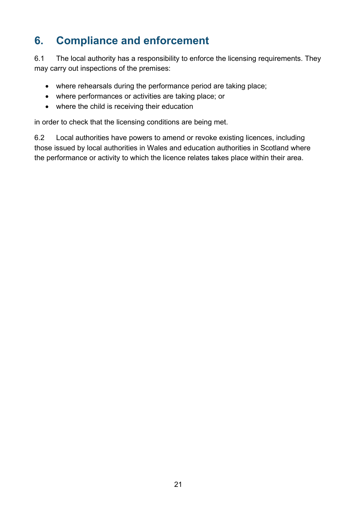# <span id="page-20-0"></span>**6. Compliance and enforcement**

6.1 The local authority has a responsibility to enforce the licensing requirements. They may carry out inspections of the premises:

- where rehearsals during the performance period are taking place;
- where performances or activities are taking place; or
- where the child is receiving their education

in order to check that the licensing conditions are being met.

6.2 Local authorities have powers to amend or revoke existing licences, including those issued by local authorities in Wales and education authorities in Scotland where the performance or activity to which the licence relates takes place within their area.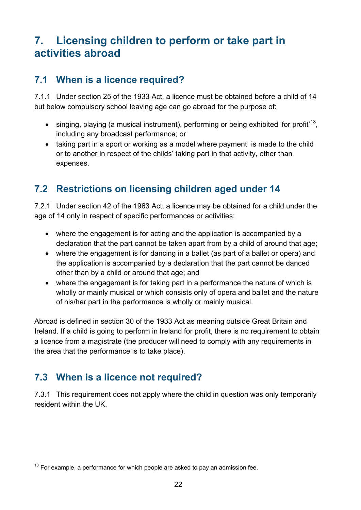# <span id="page-21-0"></span>**7. Licensing children to perform or take part in activities abroad**

### <span id="page-21-1"></span>**7.1 When is a licence required?**

7.1.1 Under section 25 of the 1933 Act, a licence must be obtained before a child of 14 but below compulsory school leaving age can go abroad for the purpose of:

- singing, playing (a musical instrument), performing or being exhibited 'for profit'<sup>18</sup>, including any broadcast performance; or
- taking part in a sport or working as a model where payment is made to the child or to another in respect of the childs' taking part in that activity, other than expenses.

# <span id="page-21-2"></span>**7.2 Restrictions on licensing children aged under 14**

7.2.1 Under section 42 of the 1963 Act, a licence may be obtained for a child under the age of 14 only in respect of specific performances or activities:

- where the engagement is for acting and the application is accompanied by a declaration that the part cannot be taken apart from by a child of around that age;
- where the engagement is for dancing in a ballet (as part of a ballet or opera) and the application is accompanied by a declaration that the part cannot be danced other than by a child or around that age; and
- where the engagement is for taking part in a performance the nature of which is wholly or mainly musical or which consists only of opera and ballet and the nature of his/her part in the performance is wholly or mainly musical.

Abroad is defined in section 30 of the 1933 Act as meaning outside Great Britain and Ireland. If a child is going to perform in Ireland for profit, there is no requirement to obtain a licence from a magistrate (the producer will need to comply with any requirements in the area that the performance is to take place).

# <span id="page-21-3"></span>**7.3 When is a licence not required?**

7.3.1 This requirement does not apply where the child in question was only temporarily resident within the UK.

<span id="page-21-4"></span> $18$  For example, a performance for which people are asked to pay an admission fee.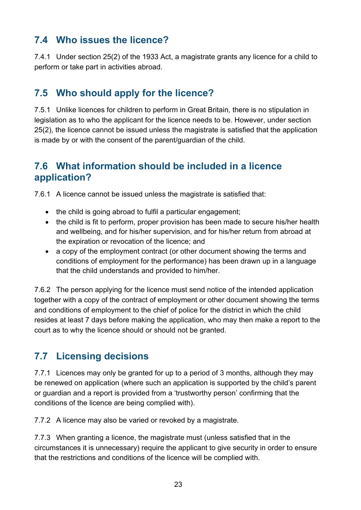# <span id="page-22-0"></span>**7.4 Who issues the licence?**

7.4.1 Under section 25(2) of the 1933 Act, a magistrate grants any licence for a child to perform or take part in activities abroad.

# <span id="page-22-1"></span>**7.5 Who should apply for the licence?**

7.5.1 Unlike licences for children to perform in Great Britain, there is no stipulation in legislation as to who the applicant for the licence needs to be. However, under section 25(2), the licence cannot be issued unless the magistrate is satisfied that the application is made by or with the consent of the parent/guardian of the child.

### <span id="page-22-2"></span>**7.6 What information should be included in a licence application?**

7.6.1 A licence cannot be issued unless the magistrate is satisfied that:

- the child is going abroad to fulfil a particular engagement:
- the child is fit to perform, proper provision has been made to secure his/her health and wellbeing, and for his/her supervision, and for his/her return from abroad at the expiration or revocation of the licence; and
- a copy of the employment contract (or other document showing the terms and conditions of employment for the performance) has been drawn up in a language that the child understands and provided to him/her.

7.6.2 The person applying for the licence must send notice of the intended application together with a copy of the contract of employment or other document showing the terms and conditions of employment to the chief of police for the district in which the child resides at least 7 days before making the application, who may then make a report to the court as to why the licence should or should not be granted.

# <span id="page-22-3"></span>**7.7 Licensing decisions**

7.7.1 Licences may only be granted for up to a period of 3 months, although they may be renewed on application (where such an application is supported by the child's parent or guardian and a report is provided from a 'trustworthy person' confirming that the conditions of the licence are being complied with).

7.7.2 A licence may also be varied or revoked by a magistrate.

7.7.3 When granting a licence, the magistrate must (unless satisfied that in the circumstances it is unnecessary) require the applicant to give security in order to ensure that the restrictions and conditions of the licence will be complied with.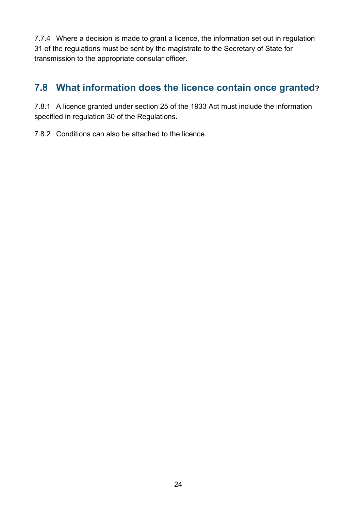7.7.4 Where a decision is made to grant a licence, the information set out in regulation 31 of the regulations must be sent by the magistrate to the Secretary of State for transmission to the appropriate consular officer.

# <span id="page-23-0"></span>**7.8 What information does the licence contain once granted?**

7.8.1 A licence granted under section 25 of the 1933 Act must include the information specified in regulation 30 of the Regulations.

7.8.2 Conditions can also be attached to the licence.